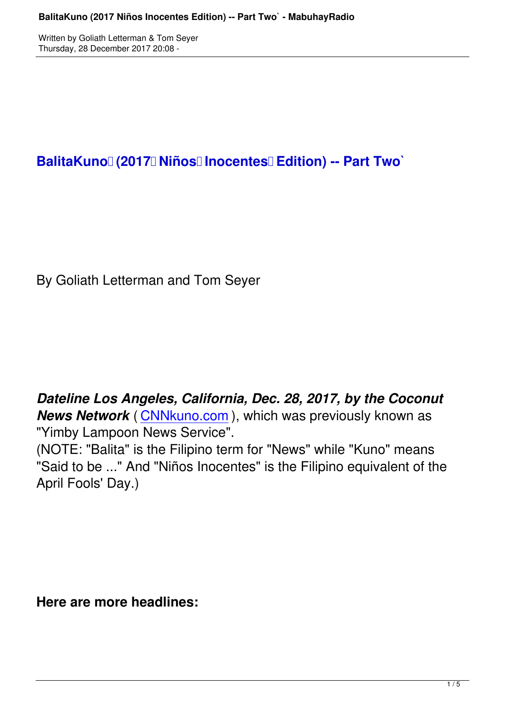BalitaKuno | (2017 | Niños | Inocentes | Edition) -- Part Two

By Goliath Letterman and Tom Seyer

*Dateline Los Angeles, California, Dec. 28, 2017, by the Coconut* **News Network** (CNNkuno.com), which was previously known as "Yimby Lampoon News Service".

(NOTE: "Balita" i[s the Filipino ter](http://cnnkuno.com/)m for "News" while "Kuno" means "Said to be ..." And "Niños Inocentes" is the Filipino equivalent of the April Fools' Day.)

**Here are more headlines:**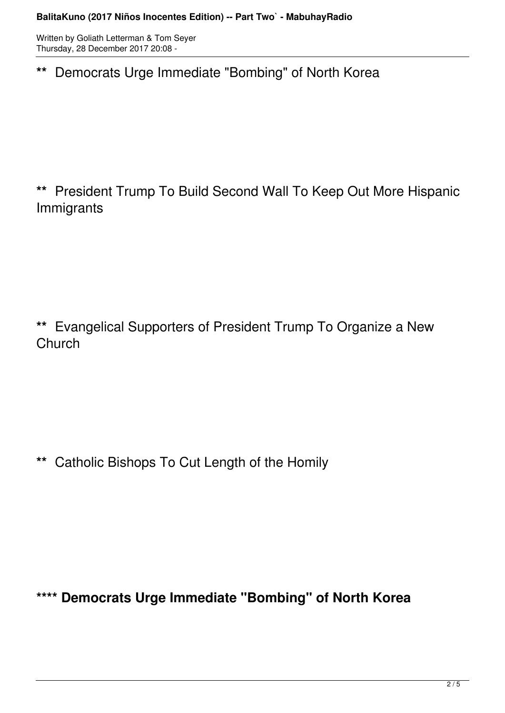Written by Goliath Letterman & Tom Seyer Thursday, 28 December 2017 20:08 -

**\*\*** Democrats Urge Immediate "Bombing" of North Korea

**\*\*** President Trump To Build Second Wall To Keep Out More Hispanic Immigrants

**\*\*** Evangelical Supporters of President Trump To Organize a New **Church** 

**\*\*** Catholic Bishops To Cut Length of the Homily

**\*\*\*\* Democrats Urge Immediate "Bombing" of North Korea**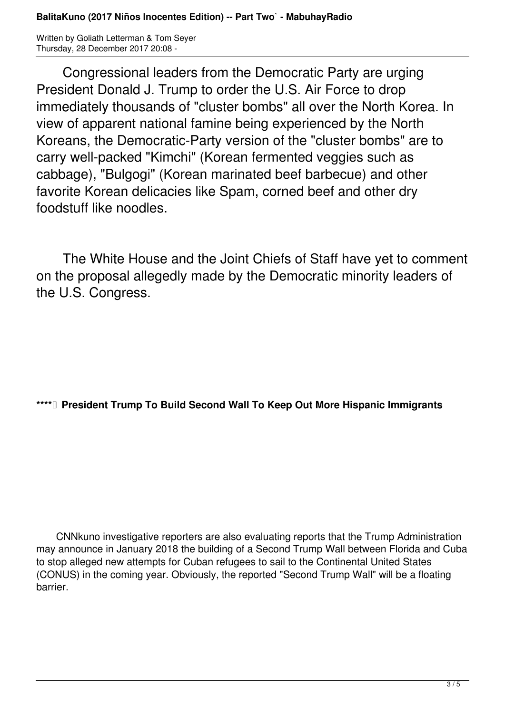Written by Goliath Letterman & Tom Seyer Thursday, 28 December 2017 20:08 -

 Congressional leaders from the Democratic Party are urging President Donald J. Trump to order the U.S. Air Force to drop immediately thousands of "cluster bombs" all over the North Korea. In view of apparent national famine being experienced by the North Koreans, the Democratic-Party version of the "cluster bombs" are to carry well-packed "Kimchi" (Korean fermented veggies such as cabbage), "Bulgogi" (Korean marinated beef barbecue) and other favorite Korean delicacies like Spam, corned beef and other dry foodstuff like noodles.

 The White House and the Joint Chiefs of Staff have yet to comment on the proposal allegedly made by the Democratic minority leaders of the U.S. Congress.

**\*\*\*\* President Trump To Build Second Wall To Keep Out More Hispanic Immigrants**

 CNNkuno investigative reporters are also evaluating reports that the Trump Administration may announce in January 2018 the building of a Second Trump Wall between Florida and Cuba to stop alleged new attempts for Cuban refugees to sail to the Continental United States (CONUS) in the coming year. Obviously, the reported "Second Trump Wall" will be a floating barrier.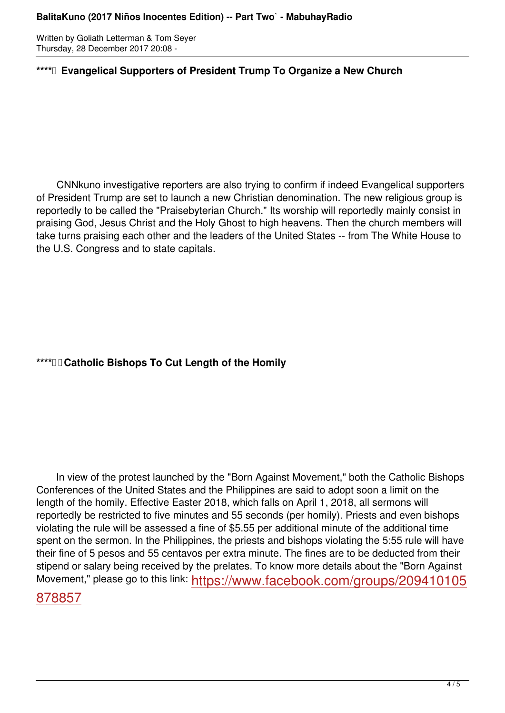Written by Goliath Letterman & Tom Seyer Thursday, 28 December 2017 20:08 -

## **\*\*\*\* Evangelical Supporters of President Trump To Organize a New Church**

 CNNkuno investigative reporters are also trying to confirm if indeed Evangelical supporters of President Trump are set to launch a new Christian denomination. The new religious group is reportedly to be called the "Praisebyterian Church." Its worship will reportedly mainly consist in praising God, Jesus Christ and the Holy Ghost to high heavens. Then the church members will take turns praising each other and the leaders of the United States -- from The White House to the U.S. Congress and to state capitals.

## **\*\*\*\* Catholic Bishops To Cut Length of the Homily**

 In view of the protest launched by the "Born Against Movement," both the Catholic Bishops Conferences of the United States and the Philippines are said to adopt soon a limit on the length of the homily. Effective Easter 2018, which falls on April 1, 2018, all sermons will reportedly be restricted to five minutes and 55 seconds (per homily). Priests and even bishops violating the rule will be assessed a fine of \$5.55 per additional minute of the additional time spent on the sermon. In the Philippines, the priests and bishops violating the 5:55 rule will have their fine of 5 pesos and 55 centavos per extra minute. The fines are to be deducted from their stipend or salary being received by the prelates. To know more details about the "Born Against Movement," please go to this link: https://www.facebook.com/groups/209410105

## 878857